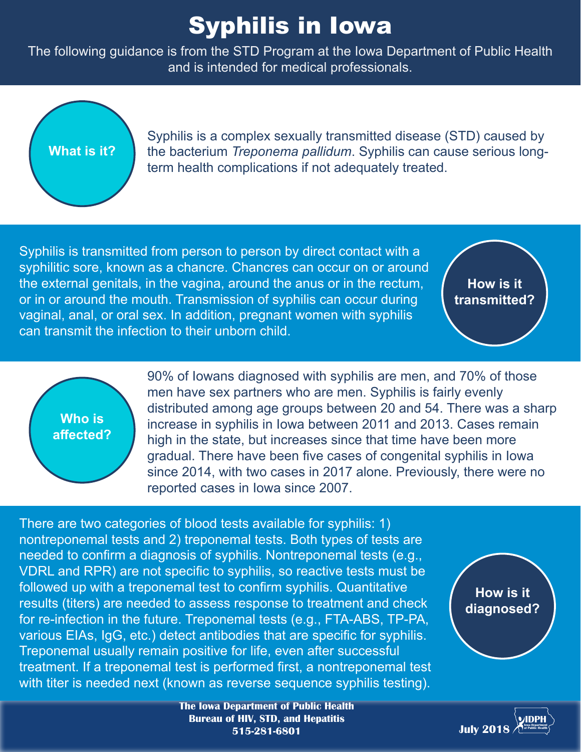## Syphilis in Iowa

The following guidance is from the STD Program at the Iowa Department of Public Health and is intended for medical professionals.

## **What is it?**

Syphilis is a complex sexually transmitted disease (STD) caused by the bacterium *Treponema pallidum*. Syphilis can cause serious longterm health complications if not adequately treated.

Syphilis is transmitted from person to person by direct contact with a syphilitic sore, known as a chancre. Chancres can occur on or around the external genitals, in the vagina, around the anus or in the rectum, or in or around the mouth. Transmission of syphilis can occur during vaginal, anal, or oral sex. In addition, pregnant women with syphilis can transmit the infection to their unborn child.

**How is it transmitted?**



90% of Iowans diagnosed with syphilis are men, and 70% of those men have sex partners who are men. Syphilis is fairly evenly distributed among age groups between 20 and 54. There was a sharp increase in syphilis in Iowa between 2011 and 2013. Cases remain high in the state, but increases since that time have been more gradual. There have been five cases of congenital syphilis in Iowa since 2014, with two cases in 2017 alone. Previously, there were no reported cases in Iowa since 2007.

There are two categories of blood tests available for syphilis: 1) nontreponemal tests and 2) treponemal tests. Both types of tests are needed to confirm a diagnosis of syphilis. Nontreponemal tests (e.g., VDRL and RPR) are not specific to syphilis, so reactive tests must be followed up with a treponemal test to confirm syphilis. Quantitative results (titers) are needed to assess response to treatment and check for re-infection in the future. Treponemal tests (e.g., FTA-ABS, TP-PA, various EIAs, IgG, etc.) detect antibodies that are specific for syphilis. Treponemal usually remain positive for life, even after successful treatment. If a treponemal test is performed first, a nontreponemal test with titer is needed next (known as reverse sequence syphilis testing).

**How is it diagnosed?**



**The Iowa Department of Public Health Bureau of HIV, STD, and Hepatitis 515-281-6801**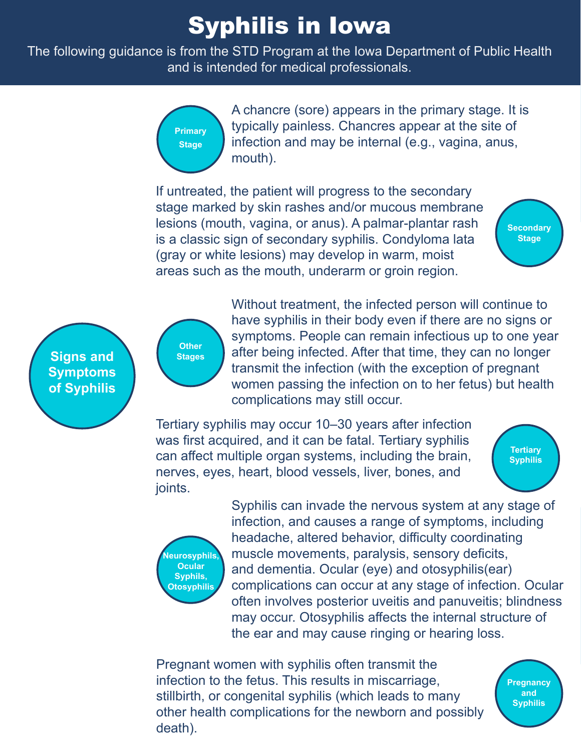## Syphilis in Iowa

The following guidance is from the STD Program at the Iowa Department of Public Health and is intended for medical professionals.



A chancre (sore) appears in the primary stage. It is typically painless. Chancres appear at the site of infection and may be internal (e.g., vagina, anus, mouth).

If untreated, the patient will progress to the secondary stage marked by skin rashes and/or mucous membrane lesions (mouth, vagina, or anus). A palmar-plantar rash is a classic sign of secondary syphilis. Condyloma lata (gray or white lesions) may develop in warm, moist areas such as the mouth, underarm or groin region.



**Signs and Symptoms of Syphilis** 

**Other Stages** Without treatment, the infected person will continue to have syphilis in their body even if there are no signs or symptoms. People can remain infectious up to one year after being infected. After that time, they can no longer transmit the infection (with the exception of pregnant women passing the infection on to her fetus) but health complications may still occur.

Tertiary syphilis may occur 10–30 years after infection was first acquired, and it can be fatal. Tertiary syphilis can affect multiple organ systems, including the brain, nerves, eyes, heart, blood vessels, liver, bones, and joints.





Syphilis can invade the nervous system at any stage of infection, and causes a range of symptoms, including headache, altered behavior, difficulty coordinating muscle movements, paralysis, sensory deficits, and dementia. Ocular (eye) and otosyphilis(ear) complications can occur at any stage of infection. Ocular often involves posterior uveitis and panuveitis; blindness may occur. Otosyphilis affects the internal structure of the ear and may cause ringing or hearing loss.

Pregnant women with syphilis often transmit the infection to the fetus. This results in miscarriage, stillbirth, or congenital syphilis (which leads to many other health complications for the newborn and possibly death).